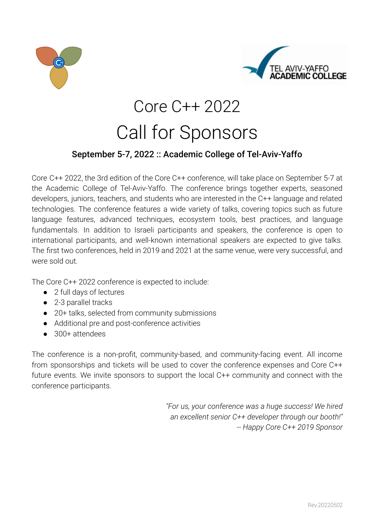



# Core C++ 2022 Call for Sponsors

## September 5-7, 2022 :: Academic College of Tel-Aviv-Yaffo

Core C++ 2022, the 3rd edition of the Core C++ conference, will take place on September 5-7 at the Academic College of Tel-Aviv-Yaffo. The conference brings together experts, seasoned developers, juniors, teachers, and students who are interested in the C++ language and related technologies. The conference features a wide variety of talks, covering topics such as future language features, advanced techniques, ecosystem tools, best practices, and language fundamentals. In addition to Israeli participants and speakers, the conference is open to international participants, and well-known international speakers are expected to give talks. The first two conferences, held in 2019 and 2021 at the same venue, were very successful, and were sold out.

The Core C++ 2022 conference is expected to include:

- 2 full days of lectures
- 2-3 parallel tracks
- 20+ talks, selected from community submissions
- Additional pre and post-conference activities
- 300+ attendees

The conference is a non-profit, community-based, and community-facing event. All income from sponsorships and tickets will be used to cover the conference expenses and Core C++ future events. We invite sponsors to support the local C++ community and connect with the conference participants.

> *"For us, your conference was a huge success! We hired an excellent senior C++ developer through our booth!" -- Happy Core C++ 2019 Sponsor*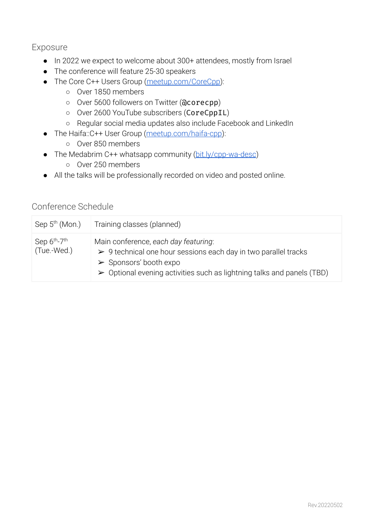## Exposure

- In 2022 we expect to welcome about 300+ attendees, mostly from Israel
- The conference will feature 25-30 speakers
- The Core C++ Users Group [\(meetup.com/CoreCpp](https://www.meetup.com/CoreCpp/)):
	- Over 1850 members
	- Over 5600 followers on Twitter (@corecpp)
	- Over 2600 YouTube subscribers (CoreCppIL)
	- Regular social media updates also include Facebook and LinkedIn
- The Haifa::C++ User Group ([meetup.com/haifa-cpp\)](https://www.meetup.com/haifa-cpp/):
	- Over 850 members
- The Medabrim C++ whatsapp community ([bit.ly/cpp-wa-desc](https://bit.ly/cpp-wa-desc))
	- Over 250 members
- All the talks will be professionally recorded on video and posted online.

## Conference Schedule

| Sep 5 <sup>th</sup> (Mon.)                          | Training classes (planned)                                                                                                                                                                                                                               |
|-----------------------------------------------------|----------------------------------------------------------------------------------------------------------------------------------------------------------------------------------------------------------------------------------------------------------|
| Sep 6 <sup>th</sup> -7 <sup>th</sup><br>(Tue.-Wed.) | Main conference, each day featuring:<br>$\triangleright$ 9 technical one hour sessions each day in two parallel tracks<br>$\triangleright$ Sponsors' booth expo<br>$\triangleright$ Optional evening activities such as lightning talks and panels (TBD) |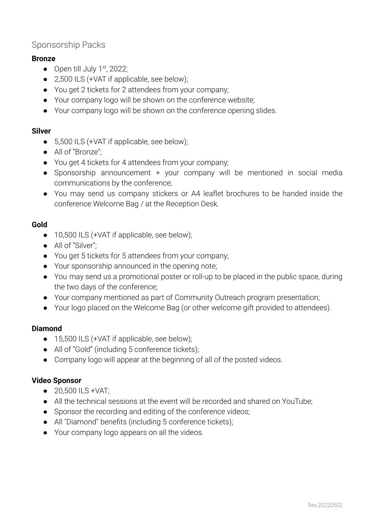## Sponsorship Packs

#### **Bronze**

- $\bullet$  Open till July 1<sup>st</sup>, 2022;
- 2,500 ILS (+VAT if applicable, see below);
- You get 2 tickets for 2 attendees from your company;
- Your company logo will be shown on the conference website;
- Your company logo will be shown on the conference opening slides.

#### **Silver**

- 5,500 ILS (+VAT if applicable, see below);
- All of "Bronze";
- You get 4 tickets for 4 attendees from your company;
- Sponsorship announcement + your company will be mentioned in social media communications by the conference;
- You may send us company stickers or A4 leaflet brochures to be handed inside the conference Welcome Bag / at the Reception Desk.

#### **Gold**

- 10,500 ILS (+VAT if applicable, see below);
- All of "Silver";
- You get 5 tickets for 5 attendees from your company;
- Your sponsorship announced in the opening note;
- You may send us a promotional poster or roll-up to be placed in the public space, during the two days of the conference;
- Your company mentioned as part of Community Outreach program presentation;
- Your logo placed on the Welcome Bag (or other welcome gift provided to attendees).

#### **Diamond**

- 15,500 ILS (+VAT if applicable, see below);
- All of "Gold" (including 5 conference tickets);
- Company logo will appear at the beginning of all of the posted videos.

#### **Video Sponsor**

- 20,500 ILS +VAT;
- All the technical sessions at the event will be recorded and shared on YouTube;
- Sponsor the recording and editing of the conference videos;
- All "Diamond" benefits (including 5 conference tickets);
- Your company logo appears on all the videos.